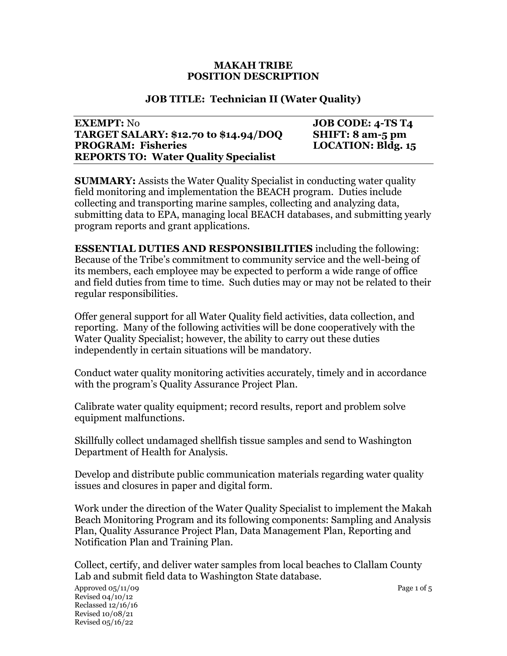#### **MAKAH TRIBE POSITION DESCRIPTION**

#### **JOB TITLE: Technician II (Water Quality)**

#### **EXEMPT:** No **JOB CODE:** 4-TS T4 **TARGET SALARY: \$12.70 to \$14.94/DOQ SHIFT: 8 am-5 pm PROGRAM: Fisheries LOCATION: Bldg. 15 REPORTS TO: Water Quality Specialist**

**SUMMARY:** Assists the Water Quality Specialist in conducting water quality field monitoring and implementation the BEACH program. Duties include collecting and transporting marine samples, collecting and analyzing data, submitting data to EPA, managing local BEACH databases, and submitting yearly program reports and grant applications.

**ESSENTIAL DUTIES AND RESPONSIBILITIES** including the following: Because of the Tribe's commitment to community service and the well-being of its members, each employee may be expected to perform a wide range of office and field duties from time to time. Such duties may or may not be related to their regular responsibilities.

Offer general support for all Water Quality field activities, data collection, and reporting. Many of the following activities will be done cooperatively with the Water Quality Specialist; however, the ability to carry out these duties independently in certain situations will be mandatory.

Conduct water quality monitoring activities accurately, timely and in accordance with the program's Quality Assurance Project Plan.

Calibrate water quality equipment; record results, report and problem solve equipment malfunctions.

Skillfully collect undamaged shellfish tissue samples and send to Washington Department of Health for Analysis.

Develop and distribute public communication materials regarding water quality issues and closures in paper and digital form.

Work under the direction of the Water Quality Specialist to implement the Makah Beach Monitoring Program and its following components: Sampling and Analysis Plan, Quality Assurance Project Plan, Data Management Plan, Reporting and Notification Plan and Training Plan.

Collect, certify, and deliver water samples from local beaches to Clallam County Lab and submit field data to Washington State database.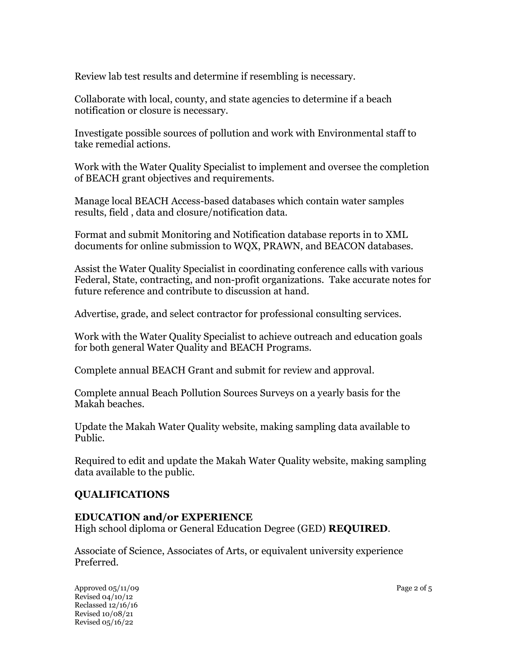Review lab test results and determine if resembling is necessary.

Collaborate with local, county, and state agencies to determine if a beach notification or closure is necessary.

Investigate possible sources of pollution and work with Environmental staff to take remedial actions.

Work with the Water Quality Specialist to implement and oversee the completion of BEACH grant objectives and requirements.

Manage local BEACH Access-based databases which contain water samples results, field , data and closure/notification data.

Format and submit Monitoring and Notification database reports in to XML documents for online submission to WQX, PRAWN, and BEACON databases.

Assist the Water Quality Specialist in coordinating conference calls with various Federal, State, contracting, and non-profit organizations. Take accurate notes for future reference and contribute to discussion at hand.

Advertise, grade, and select contractor for professional consulting services.

Work with the Water Quality Specialist to achieve outreach and education goals for both general Water Quality and BEACH Programs.

Complete annual BEACH Grant and submit for review and approval.

Complete annual Beach Pollution Sources Surveys on a yearly basis for the Makah beaches.

Update the Makah Water Quality website, making sampling data available to Public.

Required to edit and update the Makah Water Quality website, making sampling data available to the public.

## **QUALIFICATIONS**

#### **EDUCATION and/or EXPERIENCE**

High school diploma or General Education Degree (GED) **REQUIRED**.

Associate of Science, Associates of Arts, or equivalent university experience Preferred.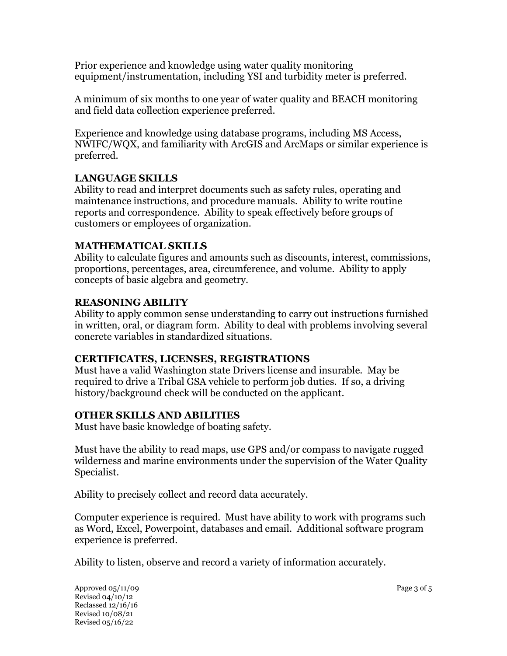Prior experience and knowledge using water quality monitoring equipment/instrumentation, including YSI and turbidity meter is preferred.

A minimum of six months to one year of water quality and BEACH monitoring and field data collection experience preferred.

Experience and knowledge using database programs, including MS Access, NWIFC/WQX, and familiarity with ArcGIS and ArcMaps or similar experience is preferred.

# **LANGUAGE SKILLS**

Ability to read and interpret documents such as safety rules, operating and maintenance instructions, and procedure manuals. Ability to write routine reports and correspondence. Ability to speak effectively before groups of customers or employees of organization.

## **MATHEMATICAL SKILLS**

Ability to calculate figures and amounts such as discounts, interest, commissions, proportions, percentages, area, circumference, and volume. Ability to apply concepts of basic algebra and geometry.

# **REASONING ABILITY**

Ability to apply common sense understanding to carry out instructions furnished in written, oral, or diagram form. Ability to deal with problems involving several concrete variables in standardized situations.

## **CERTIFICATES, LICENSES, REGISTRATIONS**

Must have a valid Washington state Drivers license and insurable. May be required to drive a Tribal GSA vehicle to perform job duties. If so, a driving history/background check will be conducted on the applicant.

## **OTHER SKILLS AND ABILITIES**

Must have basic knowledge of boating safety.

Must have the ability to read maps, use GPS and/or compass to navigate rugged wilderness and marine environments under the supervision of the Water Quality Specialist.

Ability to precisely collect and record data accurately.

Computer experience is required. Must have ability to work with programs such as Word, Excel, Powerpoint, databases and email. Additional software program experience is preferred.

Ability to listen, observe and record a variety of information accurately.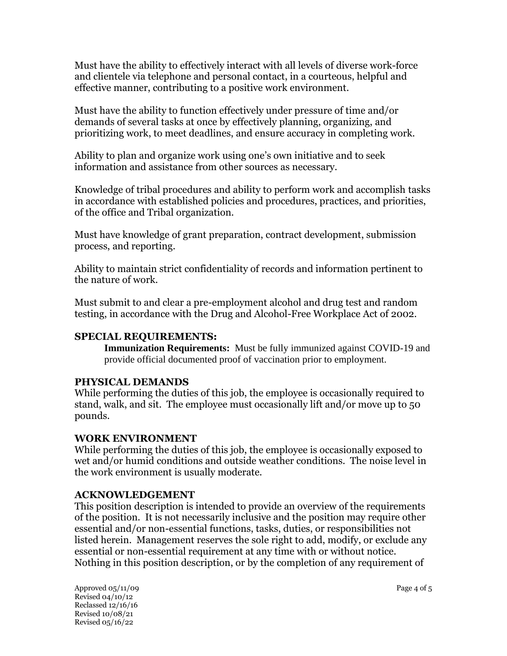Must have the ability to effectively interact with all levels of diverse work-force and clientele via telephone and personal contact, in a courteous, helpful and effective manner, contributing to a positive work environment.

Must have the ability to function effectively under pressure of time and/or demands of several tasks at once by effectively planning, organizing, and prioritizing work, to meet deadlines, and ensure accuracy in completing work.

Ability to plan and organize work using one's own initiative and to seek information and assistance from other sources as necessary.

Knowledge of tribal procedures and ability to perform work and accomplish tasks in accordance with established policies and procedures, practices, and priorities, of the office and Tribal organization.

Must have knowledge of grant preparation, contract development, submission process, and reporting.

Ability to maintain strict confidentiality of records and information pertinent to the nature of work.

Must submit to and clear a pre-employment alcohol and drug test and random testing, in accordance with the Drug and Alcohol-Free Workplace Act of 2002.

## **SPECIAL REQUIREMENTS:**

**Immunization Requirements:** Must be fully immunized against COVID-19 and provide official documented proof of vaccination prior to employment.

## **PHYSICAL DEMANDS**

While performing the duties of this job, the employee is occasionally required to stand, walk, and sit. The employee must occasionally lift and/or move up to 50 pounds.

## **WORK ENVIRONMENT**

While performing the duties of this job, the employee is occasionally exposed to wet and/or humid conditions and outside weather conditions. The noise level in the work environment is usually moderate.

## **ACKNOWLEDGEMENT**

This position description is intended to provide an overview of the requirements of the position. It is not necessarily inclusive and the position may require other essential and/or non-essential functions, tasks, duties, or responsibilities not listed herein. Management reserves the sole right to add, modify, or exclude any essential or non-essential requirement at any time with or without notice. Nothing in this position description, or by the completion of any requirement of